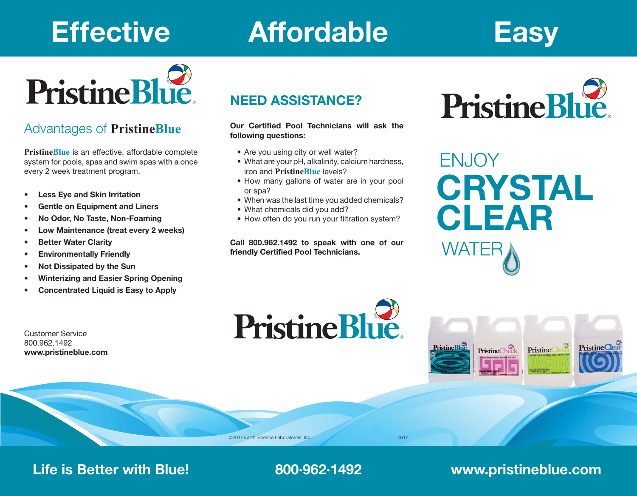# **Effective Affordable Easy**



## Advantages of **PristineBlue**

**PristineBlue** is an effective, affordable complete system for pools, spas and swim spas with a once every 2 week treatment program.

- **• Less Eye and Skin Irritation**
- **• Gentle on Equipment and Liners**
- **• No Odor, No Taste, Non-Foaming**
- **• Low Maintenance (treat every 2 weeks)**
- **• Better Water Clarity**
- **• Environmentally Friendly**
- **• Not Dissipated by the Sun**
- **• Winterizing and Easier Spring Opening**
- **• Concentrated Liquid is Easy to Apply**

Customer Service 800.962.1492 **www.pristineblue.com**

# **NEED ASSISTANCE?**

**Our Certified Pool Technicians will ask the following questions:**

- Are you using city or well water?
- What are your pH, alkalinity, calcium hardness, iron and **PristineBlue** levels?
- How many gallons of water are in your pool or spa?
- When was the last time you added chemicals?
- What chemicals did you add?
- How often do you run your filtration system?

**Call 800.962.1492 to speak with one of our friendly Certified Pool Technicians.**

**PristineBlue** 



**ENJOY CRYSTAL CLEAR** WATE



©2017 Earth Science Laboratories, Inc. 0617

# **Life is Better with Blue! 800·962·1492 www.pristineblue.com**